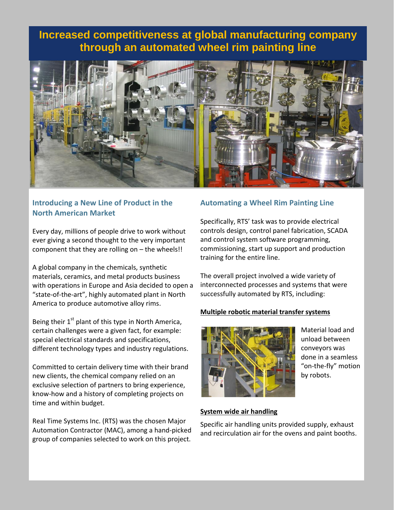# **Increased competitiveness at global manufacturing company through an automated wheel rim painting line**



## **Introducing a New Line of Product in the North American Market**

Every day, millions of people drive to work without ever giving a second thought to the very important component that they are rolling on – the wheels!!

A global company in the chemicals, synthetic materials, ceramics, and metal products business with operations in Europe and Asia decided to open a "state-of-the-art", highly automated plant in North America to produce automotive alloy rims.

Being their 1<sup>st</sup> plant of this type in North America, certain challenges were a given fact, for example: special electrical standards and specifications, different technology types and industry regulations.

Committed to certain delivery time with their brand new clients, the chemical company relied on an exclusive selection of partners to bring experience, know-how and a history of completing projects on time and within budget.

Real Time Systems Inc. (RTS) was the chosen Major Automation Contractor (MAC), among a hand-picked group of companies selected to work on this project.

## **Automating a Wheel Rim Painting Line**

Specifically, RTS' task was to provide electrical controls design, control panel fabrication, SCADA and control system software programming, commissioning, start up support and production training for the entire line.

The overall project involved a wide variety of interconnected processes and systems that were successfully automated by RTS, including:

## **Multiple robotic material transfer systems**



Material load and unload between conveyors was done in a seamless "on-the-fly" motion by robots.

## **System wide air handling**

Specific air handling units provided supply, exhaust and recirculation air for the ovens and paint booths.